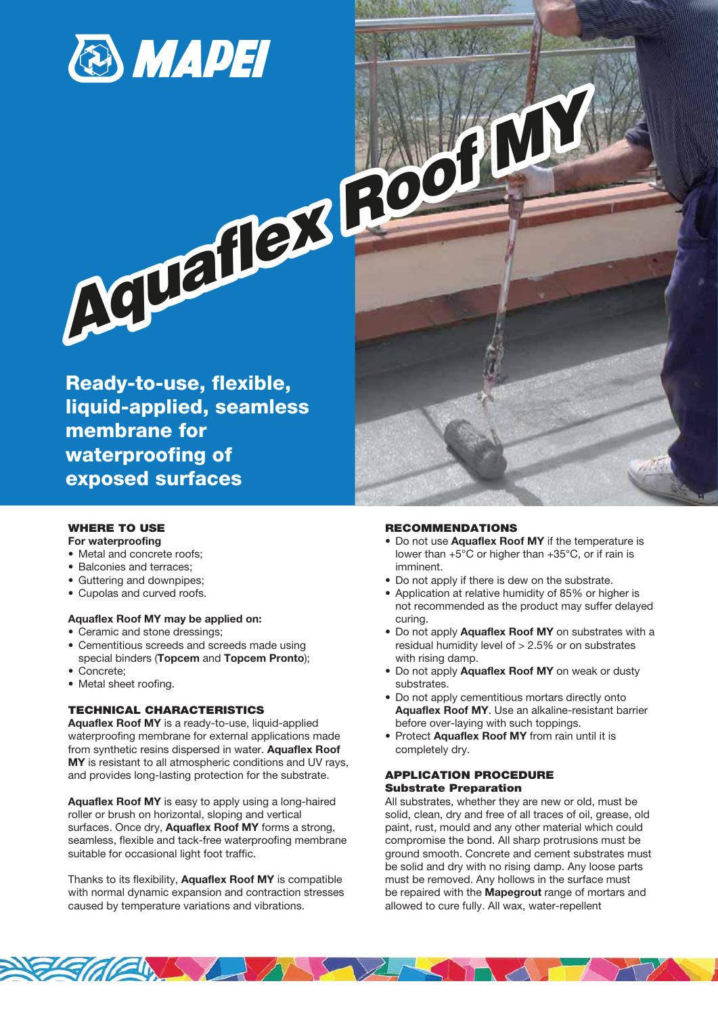

Ready-to-use, flexible, liquid-applied, seamless membrane for waterproofing of exposed surfaces

# WHERE TO USE

**For waterproofing**

- Metal and concrete roofs;
- Balconies and terraces;
- Guttering and downpipes;
- Cupolas and curved roofs.

#### **Aquaflex Roof MY may be applied on:**

- Ceramic and stone dressings;
- Cementitious screeds and screeds made using special binders (**Topcem** and **Topcem Pronto**);
- Concrete;
- Metal sheet roofing.

## TECHNICAL CHARACTERISTICS

**Aquaflex Roof MY** is a ready-to-use, liquid-applied waterproofing membrane for external applications made from synthetic resins dispersed in water. **Aquaflex Roof MY** is resistant to all atmospheric conditions and UV rays, and provides long-lasting protection for the substrate.

**Aquaflex Roof MY** is easy to apply using a long-haired roller or brush on horizontal, sloping and vertical surfaces. Once dry, **Aquaflex Roof MY** forms a strong, seamless, flexible and tack-free waterproofing membrane suitable for occasional light foot traffic.

Thanks to its flexibility, **Aquaflex Roof MY** is compatible with normal dynamic expansion and contraction stresses caused by temperature variations and vibrations.

**Eddle Latin** 

#### RECOMMENDATIONS

- Do not use **Aquaflex Roof MY** if the temperature is lower than +5°C or higher than +35°C, or if rain is imminent.
- Do not apply if there is dew on the substrate.
- Application at relative humidity of 85% or higher is not recommended as the product may suffer delayed curing.
- Do not apply **Aquaflex Roof MY** on substrates with a residual humidity level of  $> 2.5\%$  or on substrates with rising damp.
- Do not apply **Aquaflex Roof MY** on weak or dusty substrates.
- Do not apply cementitious mortars directly onto  **Aquaflex Roof MY**. Use an alkaline-resistant barrier before over-laying with such toppings.
- Protect **Aquaflex Roof MY** from rain until it is completely dry.

### APPLICATION PROCEDURE Substrate Preparation

All substrates, whether they are new or old, must be solid, clean, dry and free of all traces of oil, grease, old paint, rust, mould and any other material which could compromise the bond. All sharp protrusions must be ground smooth. Concrete and cement substrates must be solid and dry with no rising damp. Any loose parts must be removed. Any hollows in the surface must be repaired with the **Mapegrout** range of mortars and allowed to cure fully. All wax, water-repellent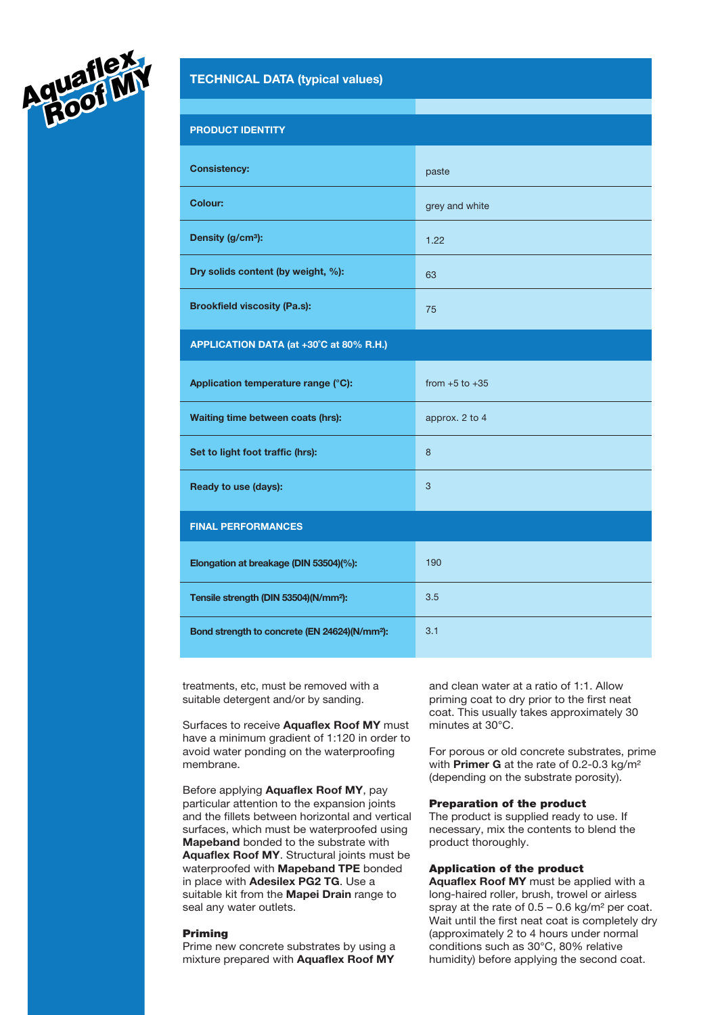

| <b>PRODUCT IDENTITY</b>                                   |                    |
|-----------------------------------------------------------|--------------------|
| <b>Consistency:</b>                                       | paste              |
| Colour:                                                   | grey and white     |
| Density (g/cm <sup>3</sup> ):                             | 1.22               |
| Dry solids content (by weight, %):                        | 63                 |
| <b>Brookfield viscosity (Pa.s):</b>                       | 75                 |
| APPLICATION DATA (at +30°C at 80% R.H.)                   |                    |
| Application temperature range (°C):                       | from $+5$ to $+35$ |
| Waiting time between coats (hrs):                         | approx. 2 to 4     |
| Set to light foot traffic (hrs):                          | 8                  |
| Ready to use (days):                                      | 3                  |
| <b>FINAL PERFORMANCES</b>                                 |                    |
| Elongation at breakage (DIN 53504)(%):                    | 190                |
| Tensile strength (DIN 53504)(N/mm <sup>2</sup> ):         | 3.5                |
| Bond strength to concrete (EN 24624)(N/mm <sup>2</sup> ): | 3.1                |
|                                                           |                    |

treatments, etc, must be removed with a suitable detergent and/or by sanding.

Surfaces to receive **Aquaflex Roof MY** must have a minimum gradient of 1:120 in order to avoid water ponding on the waterproofing membrane.

Before applying **Aquaflex Roof MY**, pay particular attention to the expansion joints and the fillets between horizontal and vertical surfaces, which must be waterproofed using **Mapeband** bonded to the substrate with **Aquaflex Roof MY**. Structural joints must be waterproofed with **Mapeband TPE** bonded in place with **Adesilex PG2 TG**. Use a suitable kit from the **Mapei Drain** range to seal any water outlets.

#### Priming

Prime new concrete substrates by using a mixture prepared with **Aquaflex Roof MY**

and clean water at a ratio of 1:1. Allow priming coat to dry prior to the first neat coat. This usually takes approximately 30 minutes at 30°C.

For porous or old concrete substrates, prime with **Primer G** at the rate of 0.2-0.3 kg/m² (depending on the substrate porosity).

#### Preparation of the product

The product is supplied ready to use. If necessary, mix the contents to blend the product thoroughly.

### Application of the product

**Aquaflex Roof MY** must be applied with a long-haired roller, brush, trowel or airless spray at the rate of  $0.5 - 0.6$  kg/m<sup>2</sup> per coat. Wait until the first neat coat is completely dry (approximately 2 to 4 hours under normal conditions such as 30°C, 80% relative humidity) before applying the second coat.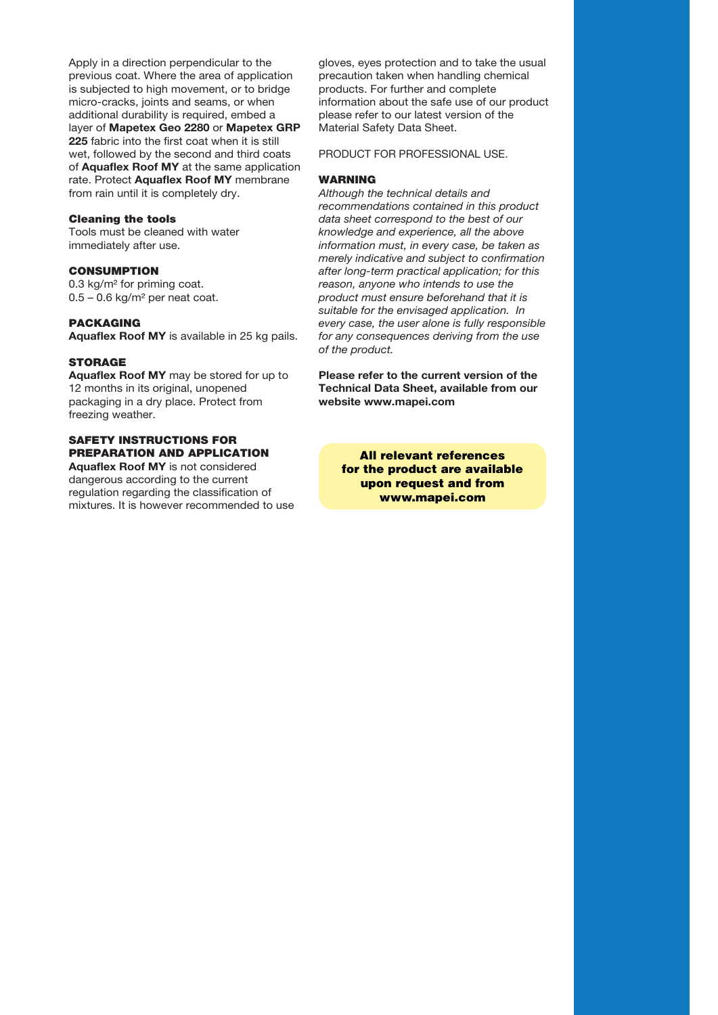Apply in a direction perpendicular to the previous coat. Where the area of application is subjected to high movement, or to bridge micro-cracks, joints and seams, or when additional durability is required, embed a layer of **Mapetex Geo 2280** or **Mapetex GRP 225** fabric into the first coat when it is still wet, followed by the second and third coats of **Aquaflex Roof MY** at the same application rate. Protect **Aquaflex Roof MY** membrane from rain until it is completely dry.

#### Cleaning the tools

Tools must be cleaned with water immediately after use.

# **CONSUMPTION**

0.3 kg/m² for priming coat.  $0.5 - 0.6$  kg/m<sup>2</sup> per neat coat.

## PACKAGING

**Aquaflex Roof MY** is available in 25 kg pails.

# **STORAGE**

**Aquaflex Roof MY** may be stored for up to 12 months in its original, unopened packaging in a dry place. Protect from freezing weather.

# SAFETY INSTRUCTIONS FOR PREPARATION AND APPLICATION

**Aquaflex Roof MY** is not considered dangerous according to the current regulation regarding the classification of mixtures. It is however recommended to use gloves, eyes protection and to take the usual precaution taken when handling chemical products. For further and complete information about the safe use of our product please refer to our latest version of the Material Safety Data Sheet.

PRODUCT FOR PROFESSIONAL USE.

#### WARNING

*Although the technical details and recommendations contained in this product data sheet correspond to the best of our knowledge and experience, all the above information must, in every case, be taken as merely indicative and subject to confirmation after long-term practical application; for this reason, anyone who intends to use the product must ensure beforehand that it is suitable for the envisaged application. In every case, the user alone is fully responsible for any consequences deriving from the use of the product.*

**Please refer to the current version of the Technical Data Sheet, available from our website www.mapei.com**

All relevant references for the product are available upon request and from www.mapei.com